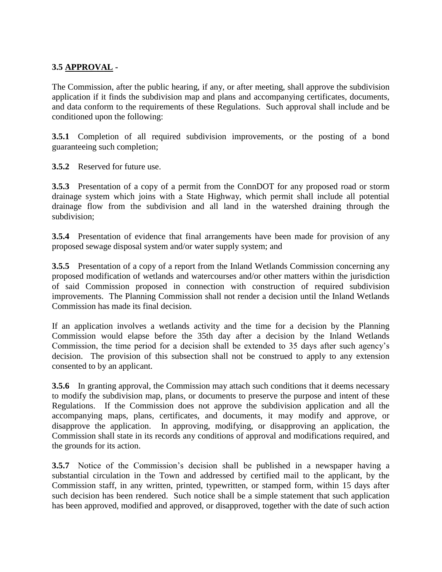## **3.5 APPROVAL -**

The Commission, after the public hearing, if any, or after meeting, shall approve the subdivision application if it finds the subdivision map and plans and accompanying certificates, documents, and data conform to the requirements of these Regulations. Such approval shall include and be conditioned upon the following:

**3.5.1** Completion of all required subdivision improvements, or the posting of a bond guaranteeing such completion;

**3.5.2** Reserved for future use.

**3.5.3** Presentation of a copy of a permit from the ConnDOT for any proposed road or storm drainage system which joins with a State Highway, which permit shall include all potential drainage flow from the subdivision and all land in the watershed draining through the subdivision;

**3.5.4** Presentation of evidence that final arrangements have been made for provision of any proposed sewage disposal system and/or water supply system; and

**3.5.5** Presentation of a copy of a report from the Inland Wetlands Commission concerning any proposed modification of wetlands and watercourses and/or other matters within the jurisdiction of said Commission proposed in connection with construction of required subdivision improvements. The Planning Commission shall not render a decision until the Inland Wetlands Commission has made its final decision.

If an application involves a wetlands activity and the time for a decision by the Planning Commission would elapse before the 35th day after a decision by the Inland Wetlands Commission, the time period for a decision shall be extended to 35 days after such agency's decision. The provision of this subsection shall not be construed to apply to any extension consented to by an applicant.

**3.5.6** In granting approval, the Commission may attach such conditions that it deems necessary to modify the subdivision map, plans, or documents to preserve the purpose and intent of these Regulations. If the Commission does not approve the subdivision application and all the accompanying maps, plans, certificates, and documents, it may modify and approve, or disapprove the application. In approving, modifying, or disapproving an application, the Commission shall state in its records any conditions of approval and modifications required, and the grounds for its action.

**3.5.7** Notice of the Commission's decision shall be published in a newspaper having a substantial circulation in the Town and addressed by certified mail to the applicant, by the Commission staff, in any written, printed, typewritten, or stamped form, within 15 days after such decision has been rendered. Such notice shall be a simple statement that such application has been approved, modified and approved, or disapproved, together with the date of such action